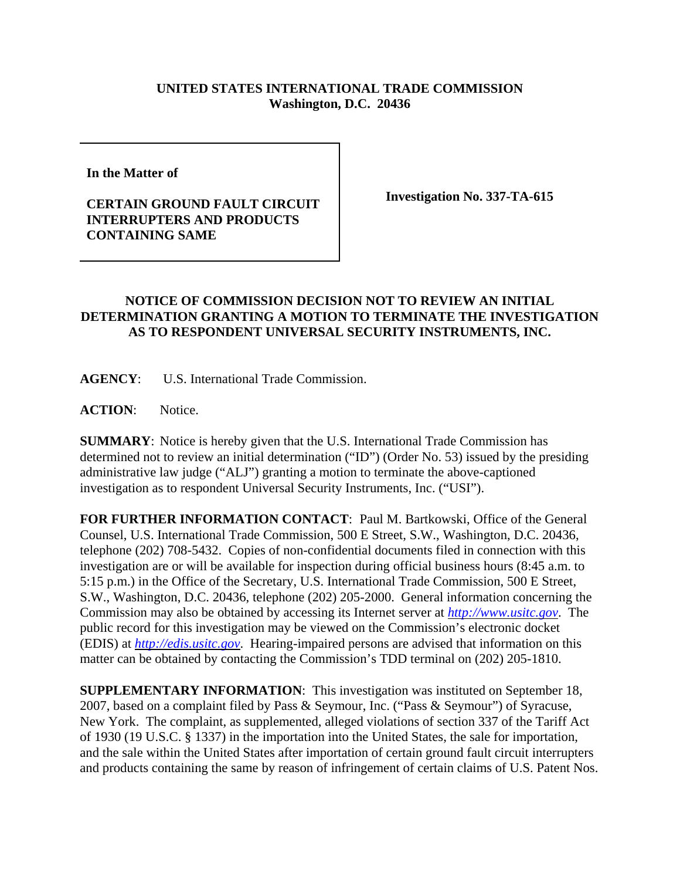## **UNITED STATES INTERNATIONAL TRADE COMMISSION Washington, D.C. 20436**

**In the Matter of** 

## **CERTAIN GROUND FAULT CIRCUIT INTERRUPTERS AND PRODUCTS CONTAINING SAME**

**Investigation No. 337-TA-615**

## **NOTICE OF COMMISSION DECISION NOT TO REVIEW AN INITIAL DETERMINATION GRANTING A MOTION TO TERMINATE THE INVESTIGATION AS TO RESPONDENT UNIVERSAL SECURITY INSTRUMENTS, INC.**

**AGENCY**: U.S. International Trade Commission.

**ACTION**: Notice.

**SUMMARY**: Notice is hereby given that the U.S. International Trade Commission has determined not to review an initial determination ("ID") (Order No. 53) issued by the presiding administrative law judge ("ALJ") granting a motion to terminate the above-captioned investigation as to respondent Universal Security Instruments, Inc. ("USI").

**FOR FURTHER INFORMATION CONTACT**: Paul M. Bartkowski, Office of the General Counsel, U.S. International Trade Commission, 500 E Street, S.W., Washington, D.C. 20436, telephone (202) 708-5432. Copies of non-confidential documents filed in connection with this investigation are or will be available for inspection during official business hours (8:45 a.m. to 5:15 p.m.) in the Office of the Secretary, U.S. International Trade Commission, 500 E Street, S.W., Washington, D.C. 20436, telephone (202) 205-2000. General information concerning the Commission may also be obtained by accessing its Internet server at *http://www.usitc.gov*. The public record for this investigation may be viewed on the Commission's electronic docket (EDIS) at *http://edis.usitc.gov*. Hearing-impaired persons are advised that information on this matter can be obtained by contacting the Commission's TDD terminal on (202) 205-1810.

**SUPPLEMENTARY INFORMATION**: This investigation was instituted on September 18, 2007, based on a complaint filed by Pass & Seymour, Inc. ("Pass & Seymour") of Syracuse, New York. The complaint, as supplemented, alleged violations of section 337 of the Tariff Act of 1930 (19 U.S.C. § 1337) in the importation into the United States, the sale for importation, and the sale within the United States after importation of certain ground fault circuit interrupters and products containing the same by reason of infringement of certain claims of U.S. Patent Nos.